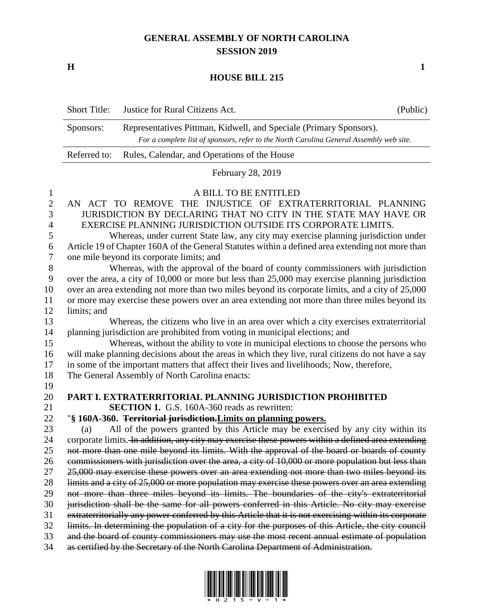## **GENERAL ASSEMBLY OF NORTH CAROLINA SESSION 2019**

**H 1**

**HOUSE BILL 215**

|                                                    | <b>Short Title:</b>                                                                                                                                                                                                                                                                                                                                                                                                | Justice for Rural Citizens Act.                                                                                                                                                                                                                                                                                                                                                                                           | (Public) |  |  |
|----------------------------------------------------|--------------------------------------------------------------------------------------------------------------------------------------------------------------------------------------------------------------------------------------------------------------------------------------------------------------------------------------------------------------------------------------------------------------------|---------------------------------------------------------------------------------------------------------------------------------------------------------------------------------------------------------------------------------------------------------------------------------------------------------------------------------------------------------------------------------------------------------------------------|----------|--|--|
|                                                    | Sponsors:                                                                                                                                                                                                                                                                                                                                                                                                          | Representatives Pittman, Kidwell, and Speciale (Primary Sponsors).<br>For a complete list of sponsors, refer to the North Carolina General Assembly web site.                                                                                                                                                                                                                                                             |          |  |  |
|                                                    | Referred to:                                                                                                                                                                                                                                                                                                                                                                                                       | Rules, Calendar, and Operations of the House                                                                                                                                                                                                                                                                                                                                                                              |          |  |  |
|                                                    |                                                                                                                                                                                                                                                                                                                                                                                                                    | February 28, 2019                                                                                                                                                                                                                                                                                                                                                                                                         |          |  |  |
| $\mathbf{1}$<br>$\overline{c}$<br>3<br>4<br>5<br>6 | A BILL TO BE ENTITLED<br>AN ACT TO REMOVE THE INJUSTICE OF EXTRATERRITORIAL PLANNING<br>JURISDICTION BY DECLARING THAT NO CITY IN THE STATE MAY HAVE OR<br>EXERCISE PLANNING JURISDICTION OUTSIDE ITS CORPORATE LIMITS.<br>Whereas, under current State law, any city may exercise planning jurisdiction under<br>Article 19 of Chapter 160A of the General Statutes within a defined area extending not more than |                                                                                                                                                                                                                                                                                                                                                                                                                           |          |  |  |
| $\tau$                                             |                                                                                                                                                                                                                                                                                                                                                                                                                    | one mile beyond its corporate limits; and                                                                                                                                                                                                                                                                                                                                                                                 |          |  |  |
| $8\,$<br>9<br>10<br>11<br>12                       | limits; and                                                                                                                                                                                                                                                                                                                                                                                                        | Whereas, with the approval of the board of county commissioners with jurisdiction<br>over the area, a city of 10,000 or more but less than 25,000 may exercise planning jurisdiction<br>over an area extending not more than two miles beyond its corporate limits, and a city of 25,000<br>or more may exercise these powers over an area extending not more than three miles beyond its                                 |          |  |  |
| 13                                                 |                                                                                                                                                                                                                                                                                                                                                                                                                    | Whereas, the citizens who live in an area over which a city exercises extraterritorial                                                                                                                                                                                                                                                                                                                                    |          |  |  |
| 14<br>15<br>16<br>17<br>18<br>19                   |                                                                                                                                                                                                                                                                                                                                                                                                                    | planning jurisdiction are prohibited from voting in municipal elections; and<br>Whereas, without the ability to vote in municipal elections to choose the persons who<br>will make planning decisions about the areas in which they live, rural citizens do not have a say<br>in some of the important matters that affect their lives and livelihoods; Now, therefore,<br>The General Assembly of North Carolina enacts: |          |  |  |
| 20                                                 |                                                                                                                                                                                                                                                                                                                                                                                                                    | PART I. EXTRATERRITORIAL PLANNING JURISDICTION PROHIBITED                                                                                                                                                                                                                                                                                                                                                                 |          |  |  |
| 21                                                 |                                                                                                                                                                                                                                                                                                                                                                                                                    | <b>SECTION 1.</b> G.S. 160A-360 reads as rewritten:                                                                                                                                                                                                                                                                                                                                                                       |          |  |  |
| 22<br>23<br>24<br>25                               | (a)                                                                                                                                                                                                                                                                                                                                                                                                                | "§ 160A-360. Territorial jurisdiction. Limits on planning powers.<br>All of the powers granted by this Article may be exercised by any city within its<br>corporate limits. In addition, any city may exercise these powers within a defined area extending<br>not more than one mile beyond its limits. With the approval of the board or boards of county                                                               |          |  |  |
| 26                                                 |                                                                                                                                                                                                                                                                                                                                                                                                                    | commissioners with jurisdiction over the area, a city of 10,000 or more population but less than                                                                                                                                                                                                                                                                                                                          |          |  |  |
| 27                                                 |                                                                                                                                                                                                                                                                                                                                                                                                                    | 25,000 may exercise these powers over an area extending not more than two miles beyond its                                                                                                                                                                                                                                                                                                                                |          |  |  |
| 28<br>29                                           |                                                                                                                                                                                                                                                                                                                                                                                                                    | limits and a city of 25,000 or more population may exercise these powers over an area extending<br>not more than three miles beyond its limits. The boundaries of the city's extraterritorial                                                                                                                                                                                                                             |          |  |  |
| 30<br>31                                           |                                                                                                                                                                                                                                                                                                                                                                                                                    | jurisdiction shall be the same for all powers conferred in this Article. No city may exercise<br>extraterritorially any power conferred by this Article that it is not exercising within its corporate                                                                                                                                                                                                                    |          |  |  |
| 32                                                 |                                                                                                                                                                                                                                                                                                                                                                                                                    | limits. In determining the population of a city for the purposes of this Article, the city council                                                                                                                                                                                                                                                                                                                        |          |  |  |
| 33<br>34                                           |                                                                                                                                                                                                                                                                                                                                                                                                                    | and the board of county commissioners may use the most recent annual estimate of population<br>as certified by the Secretary of the North Carolina Department of Administration.                                                                                                                                                                                                                                          |          |  |  |

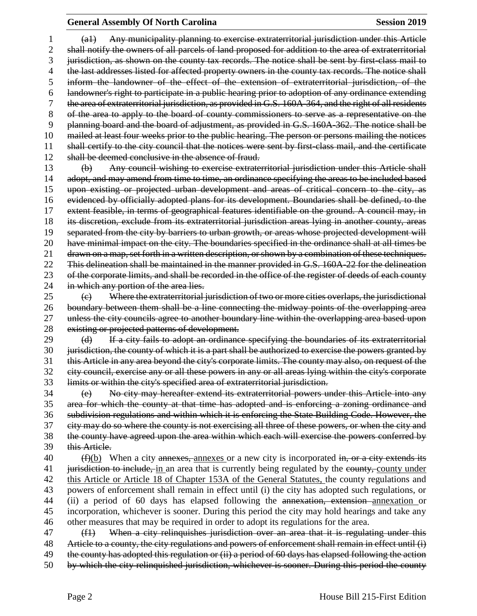### **General Assembly Of North Carolina Session 2019 Session 2019**

 (a1) Any municipality planning to exercise extraterritorial jurisdiction under this Article shall notify the owners of all parcels of land proposed for addition to the area of extraterritorial jurisdiction, as shown on the county tax records. The notice shall be sent by first-class mail to 4 the last addresses listed for affected property owners in the county tax records. The notice shall inform the landowner of the effect of the extension of extraterritorial jurisdiction, of the landowner's right to participate in a public hearing prior to adoption of any ordinance extending the area of extraterritorial jurisdiction, as provided in G.S. 160A-364, and the right of all residents of the area to apply to the board of county commissioners to serve as a representative on the 9 planning board and the board of adjustment, as provided in G.S. 160A-362. The notice shall be mailed at least four weeks prior to the public hearing. The person or persons mailing the notices shall certify to the city council that the notices were sent by first-class mail, and the certificate shall be deemed conclusive in the absence of fraud.

 (b) Any council wishing to exercise extraterritorial jurisdiction under this Article shall 14 adopt, and may amend from time to time, an ordinance specifying the areas to be included based upon existing or projected urban development and areas of critical concern to the city, as evidenced by officially adopted plans for its development. Boundaries shall be defined, to the extent feasible, in terms of geographical features identifiable on the ground. A council may, in its discretion, exclude from its extraterritorial jurisdiction areas lying in another county, areas separated from the city by barriers to urban growth, or areas whose projected development will 20 have minimal impact on the city. The boundaries specified in the ordinance shall at all times be drawn on a map, set forth in a written description, or shown by a combination of these techniques. This delineation shall be maintained in the manner provided in G.S. 160A-22 for the delineation 23 of the corporate limits, and shall be recorded in the office of the register of deeds of each county 24 in which any portion of the area lies.

 (c) Where the extraterritorial jurisdiction of two or more cities overlaps, the jurisdictional boundary between them shall be a line connecting the midway points of the overlapping area unless the city councils agree to another boundary line within the overlapping area based upon existing or projected patterns of development.

 (d) If a city fails to adopt an ordinance specifying the boundaries of its extraterritorial 30 jurisdiction, the county of which it is a part shall be authorized to exercise the powers granted by this Article in any area beyond the city's corporate limits. The county may also, on request of the city council, exercise any or all these powers in any or all areas lying within the city's corporate limits or within the city's specified area of extraterritorial jurisdiction.

 (e) No city may hereafter extend its extraterritorial powers under this Article into any area for which the county at that time has adopted and is enforcing a zoning ordinance and subdivision regulations and within which it is enforcing the State Building Code. However, the 37 eity may do so where the county is not exercising all three of these powers, or when the city and the county have agreed upon the area within which each will exercise the powers conferred by this Article.

 $\frac{40}{10}$  (f)(b) When a city annexes, annexes or a new city is incorporated in, or a city extends its 41 jurisdiction to include, in an area that is currently being regulated by the county, county under this Article or Article 18 of Chapter 153A of the General Statutes, the county regulations and powers of enforcement shall remain in effect until (i) the city has adopted such regulations, or (ii) a period of 60 days has elapsed following the annexation, extension annexation or incorporation, whichever is sooner. During this period the city may hold hearings and take any other measures that may be required in order to adopt its regulations for the area.

 (f1) When a city relinquishes jurisdiction over an area that it is regulating under this Article to a county, the city regulations and powers of enforcement shall remain in effect until (i) 49 the county has adopted this regulation or (ii) a period of 60 days has elapsed following the action by which the city relinquished jurisdiction, whichever is sooner. During this period the county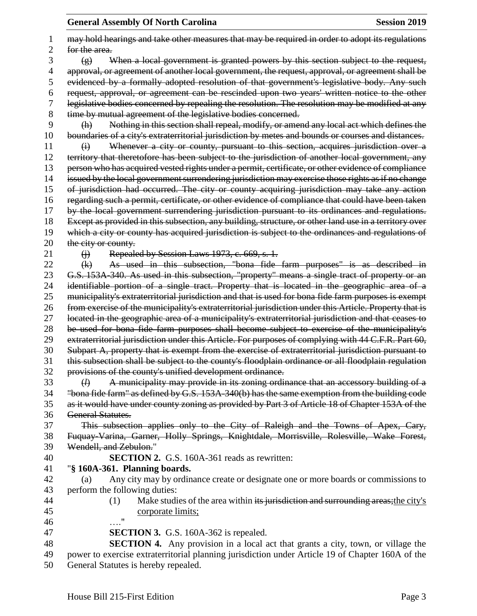may hold hearings and take other measures that may be required in order to adopt its regulations 2 for the area.  $\overline{g}$  (g) When a local government is granted powers by this section subject to the request, approval, or agreement of another local government, the request, approval, or agreement shall be evidenced by a formally adopted resolution of that government's legislative body. Any such request, approval, or agreement can be rescinded upon two years' written notice to the other legislative bodies concerned by repealing the resolution. The resolution may be modified at any time by mutual agreement of the legislative bodies concerned. (h) Nothing in this section shall repeal, modify, or amend any local act which defines the boundaries of a city's extraterritorial jurisdiction by metes and bounds or courses and distances. (i) Whenever a city or county, pursuant to this section, acquires jurisdiction over a 12 territory that theretofore has been subject to the jurisdiction of another local government, any person who has acquired vested rights under a permit, certificate, or other evidence of compliance issued by the local government surrendering jurisdiction may exercise those rights as if no change of jurisdiction had occurred. The city or county acquiring jurisdiction may take any action regarding such a permit, certificate, or other evidence of compliance that could have been taken by the local government surrendering jurisdiction pursuant to its ordinances and regulations. Except as provided in this subsection, any building, structure, or other land use in a territory over 19 which a city or county has acquired jurisdiction is subject to the ordinances and regulations of 20 the city or county.  $\qquad \qquad (i)$  Repealed by Session Laws 1973, c. 669, s. 1. (k) As used in this subsection, "bona fide farm purposes" is as described in G.S. 153A-340. As used in this subsection, "property" means a single tract of property or an identifiable portion of a single tract. Property that is located in the geographic area of a municipality's extraterritorial jurisdiction and that is used for bona fide farm purposes is exempt from exercise of the municipality's extraterritorial jurisdiction under this Article. Property that is located in the geographic area of a municipality's extraterritorial jurisdiction and that ceases to be used for bona fide farm purposes shall become subject to exercise of the municipality's extraterritorial jurisdiction under this Article. For purposes of complying with 44 C.F.R. Part 60, Subpart A, property that is exempt from the exercise of extraterritorial jurisdiction pursuant to this subsection shall be subject to the county's floodplain ordinance or all floodplain regulation provisions of the county's unified development ordinance. (*l*) A municipality may provide in its zoning ordinance that an accessory building of a "bona fide farm" as defined by G.S. 153A-340(b) has the same exemption from the building code as it would have under county zoning as provided by Part 3 of Article 18 of Chapter 153A of the General Statutes. This subsection applies only to the City of Raleigh and the Towns of Apex, Cary, Fuquay-Varina, Garner, Holly Springs, Knightdale, Morrisville, Rolesville, Wake Forest, Wendell, and Zebulon." **SECTION 2.** G.S. 160A-361 reads as rewritten: "**§ 160A-361. Planning boards.** (a) Any city may by ordinance create or designate one or more boards or commissions to perform the following duties: 44 (1) Make studies of the area within its jurisdiction and surrounding areas; the city's corporate limits; …." **SECTION 3.** G.S. 160A-362 is repealed. **SECTION 4.** Any provision in a local act that grants a city, town, or village the power to exercise extraterritorial planning jurisdiction under Article 19 of Chapter 160A of the General Statutes is hereby repealed.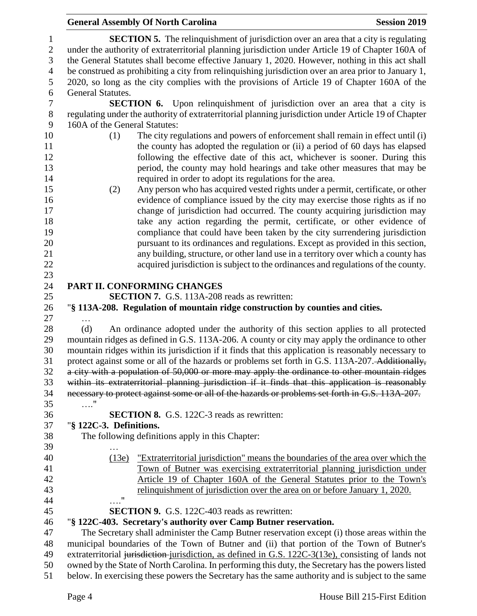# **General Assembly Of North Carolina Session 2019**

| $\mathbf{1}$     | <b>SECTION 5.</b> The relinquishment of jurisdiction over an area that a city is regulating                                                                                                     |
|------------------|-------------------------------------------------------------------------------------------------------------------------------------------------------------------------------------------------|
| $\mathbf{2}$     | under the authority of extraterritorial planning jurisdiction under Article 19 of Chapter 160A of                                                                                               |
| 3                | the General Statutes shall become effective January 1, 2020. However, nothing in this act shall                                                                                                 |
| $\overline{4}$   | be construed as prohibiting a city from relinquishing jurisdiction over an area prior to January 1,                                                                                             |
| 5                | 2020, so long as the city complies with the provisions of Article 19 of Chapter 160A of the                                                                                                     |
| 6                | General Statutes.                                                                                                                                                                               |
| $\boldsymbol{7}$ | <b>SECTION 6.</b> Upon relinquishment of jurisdiction over an area that a city is                                                                                                               |
| $8\,$            | regulating under the authority of extraterritorial planning jurisdiction under Article 19 of Chapter                                                                                            |
| 9                | 160A of the General Statutes:                                                                                                                                                                   |
| 10               | The city regulations and powers of enforcement shall remain in effect until (i)<br>(1)                                                                                                          |
| 11               | the county has adopted the regulation or (ii) a period of 60 days has elapsed                                                                                                                   |
| 12               | following the effective date of this act, whichever is sooner. During this                                                                                                                      |
| 13               | period, the county may hold hearings and take other measures that may be                                                                                                                        |
| 14               | required in order to adopt its regulations for the area.                                                                                                                                        |
| 15               | Any person who has acquired vested rights under a permit, certificate, or other<br>(2)                                                                                                          |
| 16               | evidence of compliance issued by the city may exercise those rights as if no                                                                                                                    |
| 17               | change of jurisdiction had occurred. The county acquiring jurisdiction may                                                                                                                      |
| 18               | take any action regarding the permit, certificate, or other evidence of                                                                                                                         |
| 19               | compliance that could have been taken by the city surrendering jurisdiction                                                                                                                     |
| 20               | pursuant to its ordinances and regulations. Except as provided in this section,                                                                                                                 |
| 21               | any building, structure, or other land use in a territory over which a county has                                                                                                               |
| 22<br>23         | acquired jurisdiction is subject to the ordinances and regulations of the county.                                                                                                               |
| 24               | PART II. CONFORMING CHANGES                                                                                                                                                                     |
| 25               | <b>SECTION 7.</b> G.S. 113A-208 reads as rewritten:                                                                                                                                             |
| 26               | "§ 113A-208. Regulation of mountain ridge construction by counties and cities.                                                                                                                  |
| 27               | $\cdots$                                                                                                                                                                                        |
| 28               | An ordinance adopted under the authority of this section applies to all protected<br>(d)                                                                                                        |
| 29               | mountain ridges as defined in G.S. 113A-206. A county or city may apply the ordinance to other                                                                                                  |
| 30               | mountain ridges within its jurisdiction if it finds that this application is reasonably necessary to                                                                                            |
| 31               | protect against some or all of the hazards or problems set forth in G.S. 113A-207. Additionally,                                                                                                |
| 32               | a city with a population of 50,000 or more may apply the ordinance to other mountain ridges                                                                                                     |
| 33               | within its extraterritorial planning jurisdiction if it finds that this application is reasonably                                                                                               |
| 34               |                                                                                                                                                                                                 |
| 35               | necessary to protect against some or all of the hazards or problems set forth in G.S. 113A-207.                                                                                                 |
|                  |                                                                                                                                                                                                 |
| 36               | <b>SECTION 8.</b> G.S. 122C-3 reads as rewritten:                                                                                                                                               |
| 37               | "§ 122C-3. Definitions.                                                                                                                                                                         |
| 38               | The following definitions apply in this Chapter:                                                                                                                                                |
| 39               |                                                                                                                                                                                                 |
| 40               | "Extraterritorial jurisdiction" means the boundaries of the area over which the<br>(13e)                                                                                                        |
| 41               | Town of Butner was exercising extraterritorial planning jurisdiction under                                                                                                                      |
| 42               | Article 19 of Chapter 160A of the General Statutes prior to the Town's                                                                                                                          |
| 43               | relinquishment of jurisdiction over the area on or before January 1, 2020.<br>$^{\prime\prime}$                                                                                                 |
| 44               |                                                                                                                                                                                                 |
| 45               | <b>SECTION 9.</b> G.S. 122C-403 reads as rewritten:                                                                                                                                             |
| 46               | "§ 122C-403. Secretary's authority over Camp Butner reservation.                                                                                                                                |
| 47<br>48         | The Secretary shall administer the Camp Butner reservation except (i) those areas within the                                                                                                    |
| 49               | municipal boundaries of the Town of Butner and (ii) that portion of the Town of Butner's<br>extraterritorial jurisdiction-jurisdiction, as defined in G.S. 122C-3(13e), consisting of lands not |
| 50               | owned by the State of North Carolina. In performing this duty, the Secretary has the powers listed                                                                                              |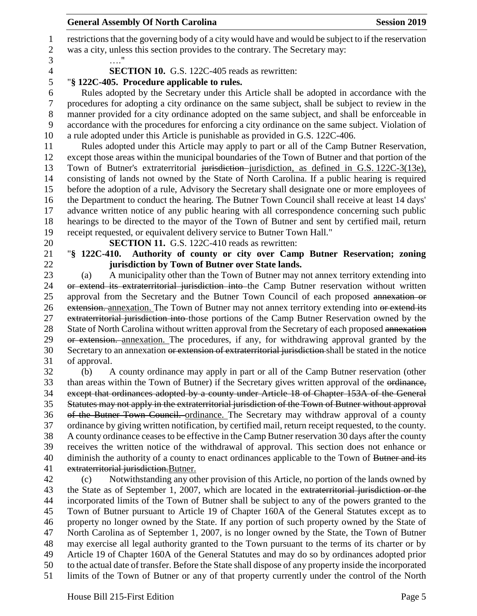| 6        | Rules adopted by the Secretary under this Article shall be adopted in accordance with the                |  |  |  |
|----------|----------------------------------------------------------------------------------------------------------|--|--|--|
| 7        | procedures for adopting a city ordinance on the same subject, shall be subject to review in the          |  |  |  |
| 8        | manner provided for a city ordinance adopted on the same subject, and shall be enforceable in            |  |  |  |
| 9        | accordance with the procedures for enforcing a city ordinance on the same subject. Violation of          |  |  |  |
| 10       | a rule adopted under this Article is punishable as provided in G.S. 122C-406.                            |  |  |  |
| 11       | Rules adopted under this Article may apply to part or all of the Camp Butner Reservation,                |  |  |  |
| 12       | except those areas within the municipal boundaries of the Town of Butner and that portion of the         |  |  |  |
| 13       | Town of Butner's extraterritorial jurisdiction-jurisdiction, as defined in G.S. 122C-3(13e),             |  |  |  |
| 14       | consisting of lands not owned by the State of North Carolina. If a public hearing is required            |  |  |  |
| 15       | before the adoption of a rule, Advisory the Secretary shall designate one or more employees of           |  |  |  |
| 16       | the Department to conduct the hearing. The Butner Town Council shall receive at least 14 days'           |  |  |  |
| 17       | advance written notice of any public hearing with all correspondence concerning such public              |  |  |  |
| 18       | hearings to be directed to the mayor of the Town of Butner and sent by certified mail, return            |  |  |  |
| 19       | receipt requested, or equivalent delivery service to Butner Town Hall."                                  |  |  |  |
| 20       | SECTION 11. G.S. 122C-410 reads as rewritten:                                                            |  |  |  |
| 21       | "§ 122C-410. Authority of county or city over Camp Butner Reservation; zoning                            |  |  |  |
| 22       | jurisdiction by Town of Butner over State lands.                                                         |  |  |  |
| 23       | A municipality other than the Town of Butner may not annex territory extending into<br>(a)               |  |  |  |
| 24       | or extend its extraterritorial jurisdiction into the Camp Butner reservation without written             |  |  |  |
| 25       | approval from the Secretary and the Butner Town Council of each proposed annexation or                   |  |  |  |
| 26       | extension. annexation. The Town of Butner may not annex territory extending into or extend its           |  |  |  |
| 27       | extraterritorial jurisdiction into those portions of the Camp Butner Reservation owned by the            |  |  |  |
| 28       | State of North Carolina without written approval from the Secretary of each proposed annexation          |  |  |  |
| 29       | or extension. annexation. The procedures, if any, for withdrawing approval granted by the                |  |  |  |
| 30       | Secretary to an annexation or extension of extraterritorial jurisdiction-shall be stated in the notice   |  |  |  |
| 31<br>32 | of approval.<br>A county ordinance may apply in part or all of the Camp Butner reservation (other<br>(b) |  |  |  |
| 33       | than areas within the Town of Butner) if the Secretary gives written approval of the ordinance,          |  |  |  |
| 34       | except that ordinances adopted by a county under Article 18 of Chapter 153A of the General               |  |  |  |
| 35       | Statutes may not apply in the extraterritorial jurisdiction of the Town of Butner without approval       |  |  |  |
| 36       | of the Butner Town Council. ordinance. The Secretary may withdraw approval of a county                   |  |  |  |
| 37       | ordinance by giving written notification, by certified mail, return receipt requested, to the county.    |  |  |  |
| 38       | A county ordinance ceases to be effective in the Camp Butner reservation 30 days after the county        |  |  |  |
| 39       | receives the written notice of the withdrawal of approval. This section does not enhance or              |  |  |  |
| 40       | diminish the authority of a county to enact ordinances applicable to the Town of Butner and its          |  |  |  |
| 41       | extraterritorial jurisdiction. Butner.                                                                   |  |  |  |
| 42       | Notwithstanding any other provision of this Article, no portion of the lands owned by<br>(c)             |  |  |  |
| 43       | the State as of September 1, 2007, which are located in the extraterritorial jurisdiction or the         |  |  |  |
| 44       | incorporated limits of the Town of Butner shall be subject to any of the powers granted to the           |  |  |  |
| 45       | Town of Butner pursuant to Article 19 of Chapter 160A of the General Statutes except as to               |  |  |  |
| 46       | property no longer owned by the State. If any portion of such property owned by the State of             |  |  |  |
| 47       | North Carolina as of September 1, 2007, is no longer owned by the State, the Town of Butner              |  |  |  |
| 48       | may exercise all legal authority granted to the Town pursuant to the terms of its charter or by          |  |  |  |
| 49       | Article 19 of Chapter 160A of the General Statutes and may do so by ordinances adopted prior             |  |  |  |
| 50       | to the actual date of transfer. Before the State shall dispose of any property inside the incorporated   |  |  |  |
| 51       | limits of the Town of Butner or any of that property currently under the control of the North            |  |  |  |
|          |                                                                                                          |  |  |  |
|          | House Bill 215-First Edition<br>Page 5                                                                   |  |  |  |
|          |                                                                                                          |  |  |  |
|          |                                                                                                          |  |  |  |
|          |                                                                                                          |  |  |  |

**General Assembly Of North Carolina Session 2019**

restrictions that the governing body of a city would have and would be subject to if the reservation

was a city, unless this section provides to the contrary. The Secretary may:

4 **SECTION 10.** G.S. 122C-405 reads as rewritten:<br>5 <sup>"§</sup> 122C-405. Procedure applicable to rules.

"**§ 122C-405. Procedure applicable to rules.**

3 …."<br>4 **SEC**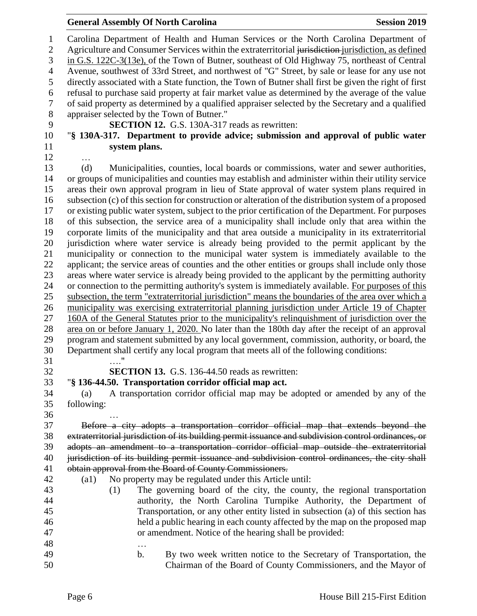### **General Assembly Of North Carolina Session 2019 Session 2019**

 Carolina Department of Health and Human Services or the North Carolina Department of 2 Agriculture and Consumer Services within the extraterritorial jurisdiction-jurisdiction, as defined in G.S. 122C-3(13e), of the Town of Butner, southeast of Old Highway 75, northeast of Central Avenue, southwest of 33rd Street, and northwest of "G" Street, by sale or lease for any use not directly associated with a State function, the Town of Butner shall first be given the right of first refusal to purchase said property at fair market value as determined by the average of the value of said property as determined by a qualified appraiser selected by the Secretary and a qualified 8 appraiser selected by the Town of Butner."<br>9 **SECTION 12.** G.S. 130A-317 **SECTION 12.** G.S. 130A-317 reads as rewritten: "**§ 130A-317. Department to provide advice; submission and approval of public water** 

- **system plans.**
- …

 (d) Municipalities, counties, local boards or commissions, water and sewer authorities, or groups of municipalities and counties may establish and administer within their utility service areas their own approval program in lieu of State approval of water system plans required in subsection (c) of this section for construction or alteration of the distribution system of a proposed or existing public water system, subject to the prior certification of the Department. For purposes of this subsection, the service area of a municipality shall include only that area within the corporate limits of the municipality and that area outside a municipality in its extraterritorial jurisdiction where water service is already being provided to the permit applicant by the municipality or connection to the municipal water system is immediately available to the applicant; the service areas of counties and the other entities or groups shall include only those areas where water service is already being provided to the applicant by the permitting authority or connection to the permitting authority's system is immediately available. For purposes of this subsection, the term "extraterritorial jurisdiction" means the boundaries of the area over which a municipality was exercising extraterritorial planning jurisdiction under Article 19 of Chapter 160A of the General Statutes prior to the municipality's relinquishment of jurisdiction over the area on or before January 1, 2020. No later than the 180th day after the receipt of an approval program and statement submitted by any local government, commission, authority, or board, the Department shall certify any local program that meets all of the following conditions: …."

## **SECTION 13.** G.S. 136-44.50 reads as rewritten:

## "**§ 136-44.50. Transportation corridor official map act.**

 (a) A transportation corridor official map may be adopted or amended by any of the following:

…

 Before a city adopts a transportation corridor official map that extends beyond the extraterritorial jurisdiction of its building permit issuance and subdivision control ordinances, or adopts an amendment to a transportation corridor official map outside the extraterritorial 40 jurisdiction of its building permit issuance and subdivision control ordinances, the city shall obtain approval from the Board of County Commissioners.

- 
- (a1) No property may be regulated under this Article until:
- (1) The governing board of the city, the county, the regional transportation authority, the North Carolina Turnpike Authority, the Department of Transportation, or any other entity listed in subsection (a) of this section has held a public hearing in each county affected by the map on the proposed map or amendment. Notice of the hearing shall be provided:
- … b. By two week written notice to the Secretary of Transportation, the Chairman of the Board of County Commissioners, and the Mayor of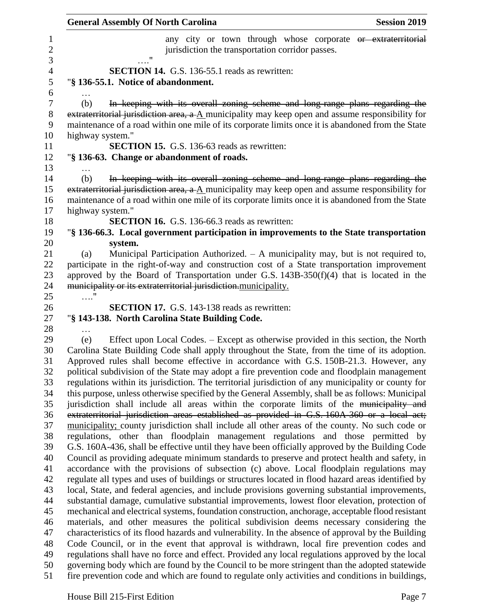| <b>General Assembly Of North Carolina</b><br><b>Session 2019</b>                                                                                                                           |
|--------------------------------------------------------------------------------------------------------------------------------------------------------------------------------------------|
| any city or town through whose corporate or extraterritorial<br>jurisdiction the transportation corridor passes.                                                                           |
| <b>SECTION 14.</b> G.S. 136-55.1 reads as rewritten:<br>"§ 136-55.1. Notice of abandonment.                                                                                                |
| In keeping with its overall zoning scheme and long-range plans regarding the<br>(b)                                                                                                        |
| extraterritorial jurisdiction area, $a \Delta$ municipality may keep open and assume responsibility for                                                                                    |
| maintenance of a road within one mile of its corporate limits once it is abandoned from the State                                                                                          |
| highway system."                                                                                                                                                                           |
| <b>SECTION 15.</b> G.S. 136-63 reads as rewritten:                                                                                                                                         |
| "§ 136-63. Change or abandonment of roads.                                                                                                                                                 |
|                                                                                                                                                                                            |
| In keeping with its overall zoning scheme and long-range plans regarding the<br>(b)                                                                                                        |
| extraterritorial jurisdiction area, $a \Delta$ municipality may keep open and assume responsibility for                                                                                    |
| maintenance of a road within one mile of its corporate limits once it is abandoned from the State                                                                                          |
| highway system."                                                                                                                                                                           |
| <b>SECTION 16.</b> G.S. 136-66.3 reads as rewritten:                                                                                                                                       |
| "§ 136-66.3. Local government participation in improvements to the State transportation                                                                                                    |
| system.                                                                                                                                                                                    |
| Municipal Participation Authorized. $-$ A municipality may, but is not required to,<br>(a)                                                                                                 |
| participate in the right-of-way and construction cost of a State transportation improvement                                                                                                |
| approved by the Board of Transportation under G.S. $143B-350(f)(4)$ that is located in the                                                                                                 |
| municipality or its extraterritorial jurisdiction.municipality.                                                                                                                            |
| $\ldots$ "                                                                                                                                                                                 |
| <b>SECTION 17.</b> G.S. 143-138 reads as rewritten:                                                                                                                                        |
| "§ 143-138. North Carolina State Building Code.                                                                                                                                            |
|                                                                                                                                                                                            |
| Effect upon Local Codes. – Except as otherwise provided in this section, the North<br>(e)<br>Carolina State Building Code shall apply throughout the State, from the time of its adoption. |
| Approved rules shall become effective in accordance with G.S. 150B-21.3. However, any                                                                                                      |
| political subdivision of the State may adopt a fire prevention code and floodplain management                                                                                              |
| regulations within its jurisdiction. The territorial jurisdiction of any municipality or county for                                                                                        |
| this purpose, unless otherwise specified by the General Assembly, shall be as follows: Municipal                                                                                           |
| jurisdiction shall include all areas within the corporate limits of the municipality and                                                                                                   |
| extraterritorial jurisdiction areas established as provided in G.S. 160A-360 or a local act;                                                                                               |
| municipality; county jurisdiction shall include all other areas of the county. No such code or                                                                                             |
| regulations, other than floodplain management regulations and those permitted by                                                                                                           |
| G.S. 160A-436, shall be effective until they have been officially approved by the Building Code                                                                                            |
| Council as providing adequate minimum standards to preserve and protect health and safety, in                                                                                              |
| accordance with the provisions of subsection (c) above. Local floodplain regulations may                                                                                                   |
| regulate all types and uses of buildings or structures located in flood hazard areas identified by                                                                                         |
| local, State, and federal agencies, and include provisions governing substantial improvements,                                                                                             |
| substantial damage, cumulative substantial improvements, lowest floor elevation, protection of                                                                                             |
| mechanical and electrical systems, foundation construction, anchorage, acceptable flood resistant                                                                                          |
| materials, and other measures the political subdivision deems necessary considering the                                                                                                    |
| characteristics of its flood hazards and vulnerability. In the absence of approval by the Building                                                                                         |
| Code Council, or in the event that approval is withdrawn, local fire prevention codes and                                                                                                  |
| regulations shall have no force and effect. Provided any local regulations approved by the local                                                                                           |
| governing body which are found by the Council to be more stringent than the adopted statewide                                                                                              |
| fire prevention code and which are found to regulate only activities and conditions in buildings,                                                                                          |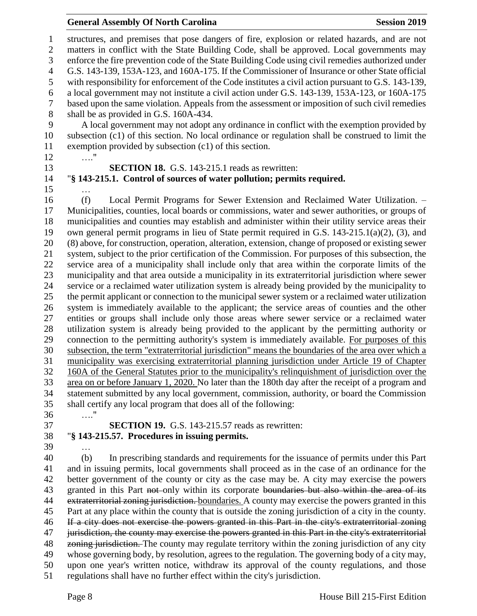### **General Assembly Of North Carolina Session 2019 Session 2019**

 structures, and premises that pose dangers of fire, explosion or related hazards, and are not matters in conflict with the State Building Code, shall be approved. Local governments may enforce the fire prevention code of the State Building Code using civil remedies authorized under G.S. 143-139, 153A-123, and 160A-175. If the Commissioner of Insurance or other State official with responsibility for enforcement of the Code institutes a civil action pursuant to G.S. 143-139, a local government may not institute a civil action under G.S. 143-139, 153A-123, or 160A-175 based upon the same violation. Appeals from the assessment or imposition of such civil remedies shall be as provided in G.S. 160A-434.

 A local government may not adopt any ordinance in conflict with the exemption provided by subsection (c1) of this section. No local ordinance or regulation shall be construed to limit the exemption provided by subsection (c1) of this section.

…."

**SECTION 18.** G.S. 143-215.1 reads as rewritten:

…

"**§ 143-215.1. Control of sources of water pollution; permits required.**

- (f) Local Permit Programs for Sewer Extension and Reclaimed Water Utilization. Municipalities, counties, local boards or commissions, water and sewer authorities, or groups of municipalities and counties may establish and administer within their utility service areas their own general permit programs in lieu of State permit required in G.S. 143-215.1(a)(2), (3), and (8) above, for construction, operation, alteration, extension, change of proposed or existing sewer system, subject to the prior certification of the Commission. For purposes of this subsection, the service area of a municipality shall include only that area within the corporate limits of the municipality and that area outside a municipality in its extraterritorial jurisdiction where sewer service or a reclaimed water utilization system is already being provided by the municipality to the permit applicant or connection to the municipal sewer system or a reclaimed water utilization system is immediately available to the applicant; the service areas of counties and the other entities or groups shall include only those areas where sewer service or a reclaimed water utilization system is already being provided to the applicant by the permitting authority or connection to the permitting authority's system is immediately available. For purposes of this subsection, the term "extraterritorial jurisdiction" means the boundaries of the area over which a municipality was exercising extraterritorial planning jurisdiction under Article 19 of Chapter 160A of the General Statutes prior to the municipality's relinquishment of jurisdiction over the area on or before January 1, 2020. No later than the 180th day after the receipt of a program and statement submitted by any local government, commission, authority, or board the Commission shall certify any local program that does all of the following:
- …."
- 

**SECTION 19.** G.S. 143-215.57 reads as rewritten:

## "**§ 143-215.57. Procedures in issuing permits.**

…

 (b) In prescribing standards and requirements for the issuance of permits under this Part and in issuing permits, local governments shall proceed as in the case of an ordinance for the better government of the county or city as the case may be. A city may exercise the powers 43 granted in this Part not only within its corporate boundaries but also within the area of its 44 extraterritorial zoning jurisdiction. boundaries. A county may exercise the powers granted in this Part at any place within the county that is outside the zoning jurisdiction of a city in the county. If a city does not exercise the powers granted in this Part in the city's extraterritorial zoning jurisdiction, the county may exercise the powers granted in this Part in the city's extraterritorial 48 zoning jurisdiction. The county may regulate territory within the zoning jurisdiction of any city whose governing body, by resolution, agrees to the regulation. The governing body of a city may, upon one year's written notice, withdraw its approval of the county regulations, and those regulations shall have no further effect within the city's jurisdiction.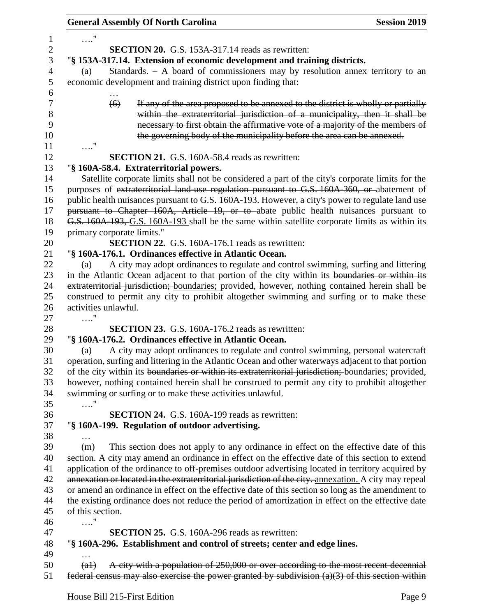|                | <b>General Assembly Of North Carolina</b><br><b>Session 2019</b>                                                                                                                                                                                                                                   |
|----------------|----------------------------------------------------------------------------------------------------------------------------------------------------------------------------------------------------------------------------------------------------------------------------------------------------|
| 1              | $\ldots$ "                                                                                                                                                                                                                                                                                         |
| $\overline{c}$ | <b>SECTION 20.</b> G.S. 153A-317.14 reads as rewritten:                                                                                                                                                                                                                                            |
| 3              | "§ 153A-317.14. Extension of economic development and training districts.                                                                                                                                                                                                                          |
| $\overline{4}$ | Standards. $-$ A board of commissioners may by resolution annex territory to an<br>(a)                                                                                                                                                                                                             |
| 5<br>6         | economic development and training district upon finding that:                                                                                                                                                                                                                                      |
| 7<br>8<br>9    | If any of the area proposed to be annexed to the district is wholly or partially<br>(6)<br>within the extraterritorial jurisdiction of a municipality, then it shall be<br>necessary to first obtain the affirmative vote of a majority of the members of                                          |
| 10             | the governing body of the municipality before the area can be annexed.                                                                                                                                                                                                                             |
| 11             | $\ldots$ "                                                                                                                                                                                                                                                                                         |
| 12             | <b>SECTION 21.</b> G.S. 160A-58.4 reads as rewritten:                                                                                                                                                                                                                                              |
| 13             | "§ 160A-58.4. Extraterritorial powers.                                                                                                                                                                                                                                                             |
| 14<br>15<br>16 | Satellite corporate limits shall not be considered a part of the city's corporate limits for the<br>purposes of extraterritorial land-use regulation pursuant to G.S. 160A-360, or abatement of<br>public health nuisances pursuant to G.S. 160A-193. However, a city's power to regulate land use |
| 17<br>18       | pursuant to Chapter 160A, Article 19, or to abate public health nuisances pursuant to<br>G.S. 160A-193, G.S. 160A-193 shall be the same within satellite corporate limits as within its                                                                                                            |
| 19             | primary corporate limits."                                                                                                                                                                                                                                                                         |
| 20             | <b>SECTION 22.</b> G.S. 160A-176.1 reads as rewritten:                                                                                                                                                                                                                                             |
| 21             | "§ 160A-176.1. Ordinances effective in Atlantic Ocean.                                                                                                                                                                                                                                             |
| 22             | A city may adopt ordinances to regulate and control swimming, surfing and littering<br>(a)                                                                                                                                                                                                         |
| 23             | in the Atlantic Ocean adjacent to that portion of the city within its boundaries or within its                                                                                                                                                                                                     |
| 24             | extraterritorial jurisdiction; boundaries; provided, however, nothing contained herein shall be                                                                                                                                                                                                    |
| 25             | construed to permit any city to prohibit altogether swimming and surfing or to make these                                                                                                                                                                                                          |
| 26             | activities unlawful.                                                                                                                                                                                                                                                                               |
| 27             | $\ldots$ "                                                                                                                                                                                                                                                                                         |
| 28             | <b>SECTION 23.</b> G.S. 160A-176.2 reads as rewritten:                                                                                                                                                                                                                                             |
| 29             | "§ 160A-176.2. Ordinances effective in Atlantic Ocean.                                                                                                                                                                                                                                             |
| 30             | A city may adopt ordinances to regulate and control swimming, personal watercraft<br>(a)                                                                                                                                                                                                           |
| 31             | operation, surfing and littering in the Atlantic Ocean and other waterways adjacent to that portion                                                                                                                                                                                                |
| 32             | of the city within its boundaries or within its extraterritorial jurisdiction; boundaries; provided,                                                                                                                                                                                               |
| 33             | however, nothing contained herein shall be construed to permit any city to prohibit altogether                                                                                                                                                                                                     |
| 34<br>35       | swimming or surfing or to make these activities unlawful.<br>$\ldots$ "                                                                                                                                                                                                                            |
| 36             | <b>SECTION 24.</b> G.S. 160A-199 reads as rewritten:                                                                                                                                                                                                                                               |
| 37             | "§ 160A-199. Regulation of outdoor advertising.                                                                                                                                                                                                                                                    |
| 38             |                                                                                                                                                                                                                                                                                                    |
| 39             | This section does not apply to any ordinance in effect on the effective date of this<br>(m)                                                                                                                                                                                                        |
| 40             | section. A city may amend an ordinance in effect on the effective date of this section to extend                                                                                                                                                                                                   |
| 41             | application of the ordinance to off-premises outdoor advertising located in territory acquired by                                                                                                                                                                                                  |
| 42             | annexation or located in the extraterritorial jurisdiction of the city. annexation. A city may repeal                                                                                                                                                                                              |
| 43             | or amend an ordinance in effect on the effective date of this section so long as the amendment to                                                                                                                                                                                                  |
| 44             | the existing ordinance does not reduce the period of amortization in effect on the effective date                                                                                                                                                                                                  |
| 45             | of this section.                                                                                                                                                                                                                                                                                   |
| 46             | . "                                                                                                                                                                                                                                                                                                |
| 47             | <b>SECTION 25.</b> G.S. 160A-296 reads as rewritten:                                                                                                                                                                                                                                               |
| 48             | "§ 160A-296. Establishment and control of streets; center and edge lines.                                                                                                                                                                                                                          |
| 49             | .                                                                                                                                                                                                                                                                                                  |
| 50             | A city with a population of 250,000 or over according to the most recent decennial<br>$(a+)$                                                                                                                                                                                                       |
| 51             | federal census may also exercise the power granted by subdivision $(a)(3)$ of this section within                                                                                                                                                                                                  |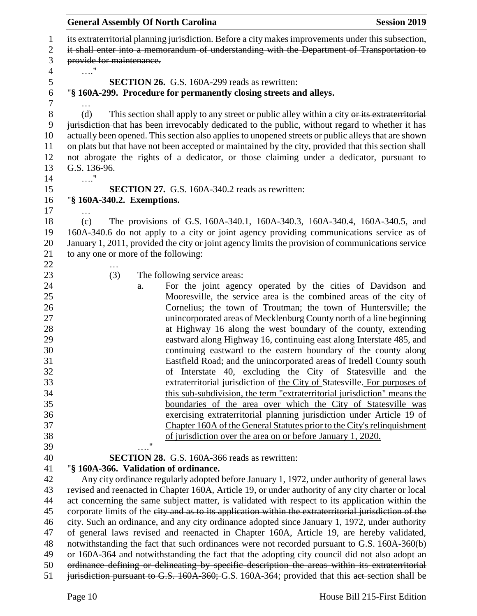**General Assembly Of North Carolina Session 2019 Session 2019**  its extraterritorial planning jurisdiction. Before a city makes improvements under this subsection, it shall enter into a memorandum of understanding with the Department of Transportation to provide for maintenance. …." **SECTION 26.** G.S. 160A-299 reads as rewritten: "**§ 160A-299. Procedure for permanently closing streets and alleys.** (d) This section shall apply to any street or public alley within a city or its extraterritorial jurisdiction that has been irrevocably dedicated to the public, without regard to whether it has actually been opened. This section also applies to unopened streets or public alleys that are shown on plats but that have not been accepted or maintained by the city, provided that this section shall not abrogate the rights of a dedicator, or those claiming under a dedicator, pursuant to G.S. 136-96. …." **SECTION 27.** G.S. 160A-340.2 reads as rewritten: "**§ 160A-340.2. Exemptions.** … (c) The provisions of G.S. 160A-340.1, 160A-340.3, 160A-340.4, 160A-340.5, and 160A-340.6 do not apply to a city or joint agency providing communications service as of January 1, 2011, provided the city or joint agency limits the provision of communications service to any one or more of the following: … 23 (3) The following service areas: a. For the joint agency operated by the cities of Davidson and Mooresville, the service area is the combined areas of the city of Cornelius; the town of Troutman; the town of Huntersville; the unincorporated areas of Mecklenburg County north of a line beginning at Highway 16 along the west boundary of the county, extending eastward along Highway 16, continuing east along Interstate 485, and continuing eastward to the eastern boundary of the county along Eastfield Road; and the unincorporated areas of Iredell County south of Interstate 40, excluding the City of Statesville and the extraterritorial jurisdiction of the City of Statesville. For purposes of this sub-subdivision, the term "extraterritorial jurisdiction" means the boundaries of the area over which the City of Statesville was exercising extraterritorial planning jurisdiction under Article 19 of Chapter 160A of the General Statutes prior to the City's relinquishment of jurisdiction over the area on or before January 1, 2020. …." **SECTION 28.** G.S. 160A-366 reads as rewritten: "**§ 160A-366. Validation of ordinance.** Any city ordinance regularly adopted before January 1, 1972, under authority of general laws revised and reenacted in Chapter 160A, Article 19, or under authority of any city charter or local act concerning the same subject matter, is validated with respect to its application within the 45 corporate limits of the eity and as to its application within the extraterritorial jurisdiction of the city. Such an ordinance, and any city ordinance adopted since January 1, 1972, under authority of general laws revised and reenacted in Chapter 160A, Article 19, are hereby validated, notwithstanding the fact that such ordinances were not recorded pursuant to G.S. 160A-360(b) or 160A-364 and notwithstanding the fact that the adopting city council did not also adopt an ordinance defining or delineating by specific description the areas within its extraterritorial 51 jurisdiction pursuant to G.S. 160A-360; G.S. 160A-364; provided that this act-section shall be